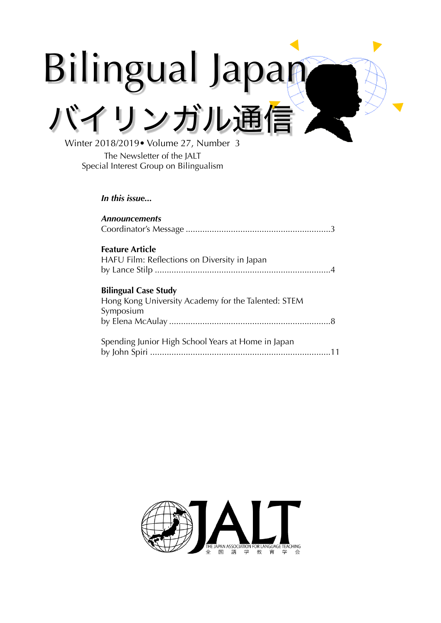# Bilingual Japan バイリンガル通信

Winter 2018/2019• Volume 27, Number 3 The Newsletter of the JALT Special Interest Group on Bilingualism

*In this issue...*

| <b>Announcements</b>                                                                            |
|-------------------------------------------------------------------------------------------------|
| <b>Feature Article</b><br>HAFU Film: Reflections on Diversity in Japan                          |
| <b>Bilingual Case Study</b><br>Hong Kong University Academy for the Talented: STEM<br>Symposium |
| Spending Junior High School Years at Home in Japan                                              |

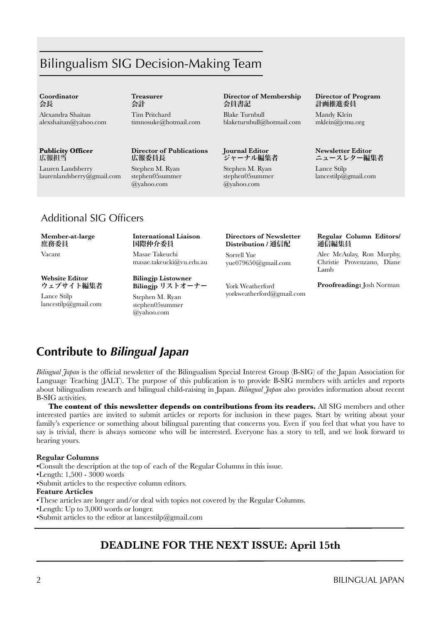# Bilingualism SIG Decision-Making Team

#### **Coordinator**  会長

Alexandra Shaitan alexshaitan@yahoo.com

## **Publicity Officer** 広報担当

Lauren Landsberry [laurenlandsberry@gmail.com](mailto:jayinhimeji@gmail.com)  **Treasurer**  会計

Tim Pritchard timnosuke@hotmail.com

## **Director of Publications** 広報委員長

Stephen M. Ryan stephen05summer @yahoo.com

## **Director of Membership** 会員書記

Blake Turnbull blaketurnbull@hotmail.com

## **Journal Editor** ジャーナル編集者

Stephen M. Ryan stephen05summer @yahoo.com

#### **Director of Program** 計画推進委員

Mandy Klein mklein@jcmu.org

#### **Newsletter Editor** ニュースレター編集者

Lance Stilp lancestilp@gmail.com

# Additional SIG Officers

#### **Member-at-large** 庶務委員

Vacant

## **International Liaison** 国際仲介委員 Masae Takeuchi

masae.takeucki@vu.edu.au

**Website Editor** ウェブサイト編集者 Lance Stilp

lancestilp@gmail.com

**Bilingjp** リストオーナー Stephen M. Ryan stephen05summer @yahoo.com

**Bilingjp Listowner**

#### **Directors of Newsletter Distribution /** 通信配

Sorrell Yue yue079650@gmail.com

York Weatherford yorkweatherford@gmail.com

## **Regular Column Editors/**  通信編集員

Alec McAulay, Ron Murphy, Christie Provenzano, Diane Lamb

## **Proofreading:** Josh Norman

# **Contribute to** *Bilingual Japan*

*Bilingual Japan* is the official newsletter of the Bilingualism Special Interest Group (B-SIG) of the Japan Association for Language Teaching (JALT). The purpose of this publication is to provide B-SIG members with articles and reports about bilingualism research and bilingual child-raising in Japan. *Bilingual Japan* also provides information about recent B-SIG activities.

**The content of this newsletter depends on contributions from its readers.** All SIG members and other interested parties are invited to submit articles or reports for inclusion in these pages. Start by writing about your family's experience or something about bilingual parenting that concerns you. Even if you feel that what you have to say is trivial, there is always someone who will be interested. Everyone has a story to tell, and we look forward to hearing yours.

## **Regular Columns**

•Consult the description at the top of each of the Regular Columns in this issue.

•Length: 1,500 - 3000 words

•Submit articles to the respective column editors.

## **Feature Articles**

•These articles are longer and/or deal with topics not covered by the Regular Columns.

- •Length: Up to 3,000 words or longer.
- •Submit articles to the editor at lancestilp@gmail.com

# **DEADLINE FOR THE NEXT ISSUE: April 15th**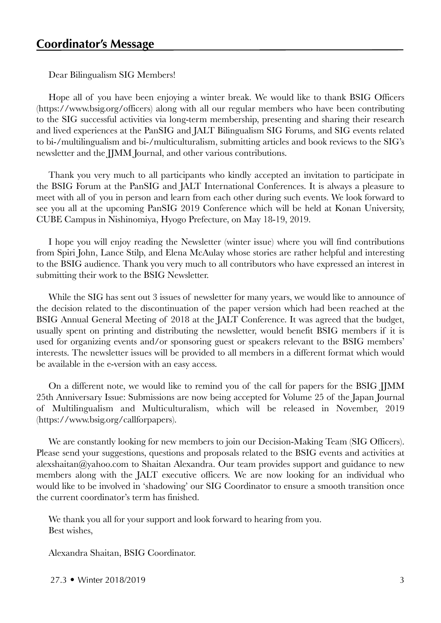Dear Bilingualism SIG Members!

Hope all of you have been enjoying a winter break. We would like to thank BSIG Officers (https://www.bsig.org/officers) along with all our regular members who have been contributing to the SIG successful activities via long-term membership, presenting and sharing their research and lived experiences at the PanSIG and JALT Bilingualism SIG Forums, and SIG events related to bi-/multilingualism and bi-/multiculturalism, submitting articles and book reviews to the SIG's newsletter and the JJMM Journal, and other various contributions.

Thank you very much to all participants who kindly accepted an invitation to participate in the BSIG Forum at the PanSIG and JALT International Conferences. It is always a pleasure to meet with all of you in person and learn from each other during such events. We look forward to see you all at the upcoming PanSIG 2019 Conference which will be held at Konan University, CUBE Campus in Nishinomiya, Hyogo Prefecture, on May 18-19, 2019.

I hope you will enjoy reading the Newsletter (winter issue) where you will find contributions from Spiri John, Lance Stilp, and Elena McAulay whose stories are rather helpful and interesting to the BSIG audience. Thank you very much to all contributors who have expressed an interest in submitting their work to the BSIG Newsletter.

While the SIG has sent out 3 issues of newsletter for many years, we would like to announce of the decision related to the discontinuation of the paper version which had been reached at the BSIG Annual General Meeting of 2018 at the JALT Conference. It was agreed that the budget, usually spent on printing and distributing the newsletter, would benefit BSIG members if it is used for organizing events and/or sponsoring guest or speakers relevant to the BSIG members' interests. The newsletter issues will be provided to all members in a different format which would be available in the e-version with an easy access.

On a different note, we would like to remind you of the call for papers for the BSIG JJMM 25th Anniversary Issue: Submissions are now being accepted for Volume 25 of the Japan Journal of Multilingualism and Multiculturalism, which will be released in November, 2019 (https://www.bsig.org/callforpapers).

We are constantly looking for new members to join our Decision-Making Team (SIG Officers). Please send your suggestions, questions and proposals related to the BSIG events and activities at alexshaitan@yahoo.com to Shaitan Alexandra. Our team provides support and guidance to new members along with the JALT executive officers. We are now looking for an individual who would like to be involved in 'shadowing' our SIG Coordinator to ensure a smooth transition once the current coordinator's term has finished.

We thank you all for your support and look forward to hearing from you. Best wishes,

Alexandra Shaitan, BSIG Coordinator.

27.3 • Winter 2018/2019 3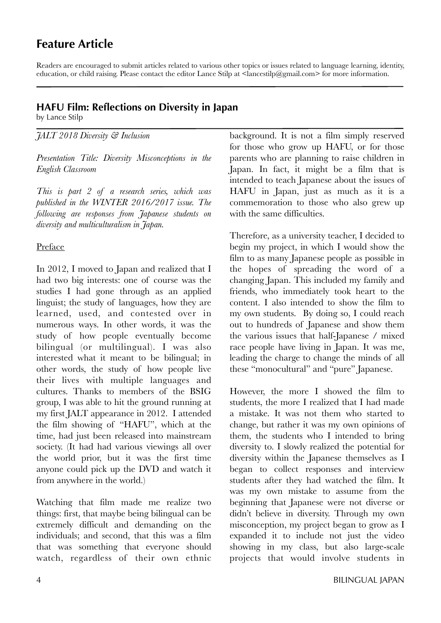# **Feature Article**

Readers are encouraged to submit articles related to various other topics or issues related to language learning, identity, education, or child raising. Please contact the editor Lance Stilp at <lancestilp@gmail.com> for more information.

# **HAFU Film: Reflections on Diversity in Japan**

by Lance Stilp

*JALT 2018 Diversity & Inclusion*

*Presentation Title: Diversity Misconceptions in the English Classroom*

*This is part 2 of a research series, which was published in the WINTER 2016/2017 issue. The following are responses from Japanese students on diversity and multiculturalism in Japan.*

# Preface

In 2012, I moved to Japan and realized that I had two big interests: one of course was the studies I had gone through as an applied linguist; the study of languages, how they are learned, used, and contested over in numerous ways. In other words, it was the study of how people eventually become bilingual (or multilingual). I was also interested what it meant to be bilingual; in other words, the study of how people live their lives with multiple languages and cultures. Thanks to members of the BSIG group, I was able to hit the ground running at my first JALT appearance in 2012. I attended the film showing of "HAFU", which at the time, had just been released into mainstream society. (It had had various viewings all over the world prior, but it was the first time anyone could pick up the DVD and watch it from anywhere in the world.)

Watching that film made me realize two things: first, that maybe being bilingual can be extremely difficult and demanding on the individuals; and second, that this was a film that was something that everyone should watch, regardless of their own ethnic

background. It is not a film simply reserved for those who grow up HAFU, or for those parents who are planning to raise children in Japan. In fact, it might be a film that is intended to teach Japanese about the issues of HAFU in Japan, just as much as it is a commemoration to those who also grew up with the same difficulties.

Therefore, as a university teacher, I decided to begin my project, in which I would show the film to as many Japanese people as possible in the hopes of spreading the word of a changing Japan. This included my family and friends, who immediately took heart to the content. I also intended to show the film to my own students. By doing so, I could reach out to hundreds of Japanese and show them the various issues that half-Japanese / mixed race people have living in Japan. It was me, leading the charge to change the minds of all these "monocultural" and "pure" Japanese.

However, the more I showed the film to students, the more I realized that I had made a mistake. It was not them who started to change, but rather it was my own opinions of them, the students who I intended to bring diversity to. I slowly realized the potential for diversity within the Japanese themselves as I began to collect responses and interview students after they had watched the film. It was my own mistake to assume from the beginning that Japanese were not diverse or didn't believe in diversity. Through my own misconception, my project began to grow as I expanded it to include not just the video showing in my class, but also large-scale projects that would involve students in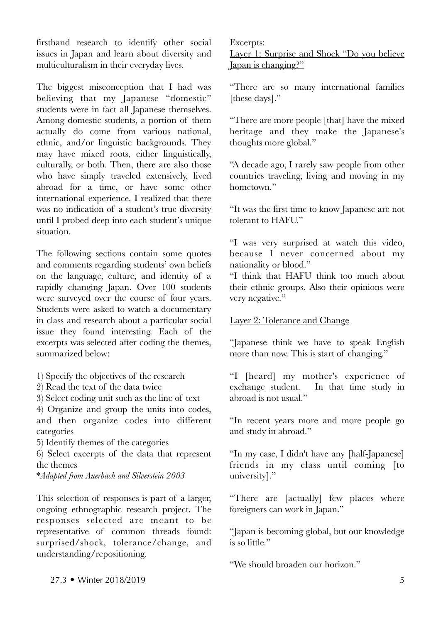firsthand research to identify other social issues in Japan and learn about diversity and multiculturalism in their everyday lives.

The biggest misconception that I had was believing that my Japanese "domestic" students were in fact all Japanese themselves. Among domestic students, a portion of them actually do come from various national, ethnic, and/or linguistic backgrounds. They may have mixed roots, either linguistically, culturally, or both. Then, there are also those who have simply traveled extensively, lived abroad for a time, or have some other international experience. I realized that there was no indication of a student's true diversity until I probed deep into each student's unique situation.

The following sections contain some quotes and comments regarding students' own beliefs on the language, culture, and identity of a rapidly changing Japan. Over 100 students were surveyed over the course of four years. Students were asked to watch a documentary in class and research about a particular social issue they found interesting. Each of the excerpts was selected after coding the themes, summarized below:

- 1) Specify the objectives of the research
- 2) Read the text of the data twice
- 3) Select coding unit such as the line of text

4) Organize and group the units into codes, and then organize codes into different categories

5) Identify themes of the categories

6) Select excerpts of the data that represent the themes

\**Adapted from Auerbach and Silverstein 2003*

This selection of responses is part of a larger, ongoing ethnographic research project. The responses selected are meant to be representative of common threads found: surprised/shock, tolerance/change, and understanding/repositioning.

Excerpts: Layer 1: Surprise and Shock "Do you believe Japan is changing?"

"There are so many international families [these days]."

"There are more people [that] have the mixed heritage and they make the Japanese's thoughts more global."

"A decade ago, I rarely saw people from other countries traveling, living and moving in my hometown"

"It was the first time to know Japanese are not tolerant to HAFU."

"I was very surprised at watch this video, because I never concerned about my nationality or blood."

"I think that HAFU think too much about their ethnic groups. Also their opinions were very negative."

# Layer 2: Tolerance and Change

"Japanese think we have to speak English more than now. This is start of changing."

"I [heard] my mother's experience of exchange student. In that time study in In that time study in abroad is not usual."

"In recent years more and more people go and study in abroad."

"In my case, I didn't have any [half-Japanese] friends in my class until coming [to university]."

"There are [actually] few places where foreigners can work in Japan."

"Japan is becoming global, but our knowledge is so little."

"We should broaden our horizon."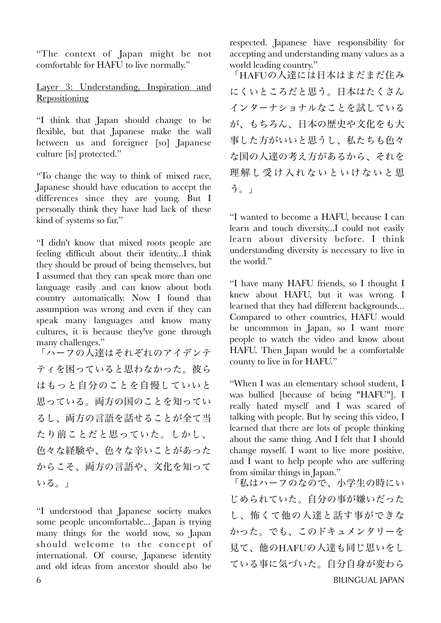"The context of Japan might be not comfortable for HAFU to live normally."

# Layer 3: Understanding, Inspiration and **Repositioning**

"I think that Japan should change to be flexible, but that Japanese make the wall between us and foreigner [so] Japanese culture [is] protected."

"To change the way to think of mixed race, Japanese should have education to accept the differences since they are young. But I personally think they have had lack of these kind of systems so far."

"I didn't know that mixed roots people are feeling difficult about their identity...I think they should be proud of being themselves, but I assumed that they can speak more than one language easily and can know about both country automatically. Now I found that assumption was wrong and even if they can speak many languages and know many cultures, it is because they've gone through many challenges."

「ハーフの人達はそれぞれのアイデンテ ティを困っていると思わなかった。彼ら はもっと自分のことを自慢していいと 思っている。両方の国のことを知ってい るし、両方の言語を話せることが全て当 たり前ことだと思っていた。しかし、 色々な経験や、色々な辛いことがあった からこそ、両方の言語や、文化を知って いる。」

"I understood that Japanese society makes some people uncomfortable... Japan is trying many things for the world now, so Japan should welcome to the concept of international. Of course, Japanese identity and old ideas from ancestor should also be

respected. Japanese have responsibility for accepting and understanding many values as a world leading country."

「HAFUの人達には日本はまだまだ住み にくいところだと思う。日本はたくさん インターナショナルなことを試している が、もちろん、日本の歴史や文化をも大 事した方がいいと思うし、私たちも色々 な国の人達の考え方があるから、それを 理解し受け入れないといけないと思 う。」

"I wanted to become a HAFU, because I can learn and touch diversity...I could not easily learn about diversity before. I think understanding diversity is necessary to live in the world."

"I have many HAFU friends, so I thought I knew about HAFU, but it was wrong. I learned that they had different backgrounds... Compared to other countries, HAFU would be uncommon in Japan, so I want more people to watch the video and know about HAFU. Then Japan would be a comfortable county to live in for HAFU."

"When I was an elementary school student, I was bullied [because of being "HAFU"]. I really hated myself and I was scared of talking with people. But by seeing this video, I learned that there are lots of people thinking about the same thing. And I felt that I should change myself. I want to live more positive, and I want to help people who are suffering from similar things in Japan."

「私はハーフのなので、小学生の時にい じめられていた。自分の事が嫌いだった し、怖くて他の人達と話す事ができな かった。でも、このドキュメンタリーを 見て、他のHAFUの人達も同じ思いをし ている事に気づいた。自分自身が変わら 6 BILINGUAL JAPAN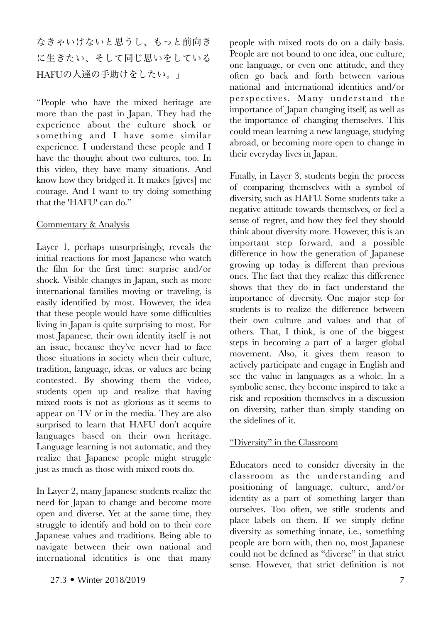なきゃいけないと思うし、もっと前向き に生きたい、そして同じ思いをしている HAFUの人達の手助けをしたい。」

"People who have the mixed heritage are more than the past in Japan. They had the experience about the culture shock or something and I have some similar experience. I understand these people and I have the thought about two cultures, too. In this video, they have many situations. And know how they bridged it. It makes [gives] me courage. And I want to try doing something that the 'HAFU' can do."

# Commentary & Analysis

Layer 1, perhaps unsurprisingly, reveals the initial reactions for most Japanese who watch the film for the first time: surprise and/or shock. Visible changes in Japan, such as more international families moving or traveling, is easily identified by most. However, the idea that these people would have some difficulties living in Japan is quite surprising to most. For most Japanese, their own identity itself is not an issue, because they've never had to face those situations in society when their culture, tradition, language, ideas, or values are being contested. By showing them the video, students open up and realize that having mixed roots is not as glorious as it seems to appear on TV or in the media. They are also surprised to learn that HAFU don't acquire languages based on their own heritage. Language learning is not automatic, and they realize that Japanese people might struggle just as much as those with mixed roots do.

In Layer 2, many Japanese students realize the need for Japan to change and become more open and diverse. Yet at the same time, they struggle to identify and hold on to their core Japanese values and traditions. Being able to navigate between their own national and international identities is one that many

people with mixed roots do on a daily basis. People are not bound to one idea, one culture, one language, or even one attitude, and they often go back and forth between various national and international identities and/or perspectives. Many understand the importance of Japan changing itself, as well as the importance of changing themselves. This could mean learning a new language, studying abroad, or becoming more open to change in their everyday lives in Japan.

Finally, in Layer 3, students begin the process of comparing themselves with a symbol of diversity, such as HAFU. Some students take a negative attitude towards themselves, or feel a sense of regret, and how they feel they should think about diversity more. However, this is an important step forward, and a possible difference in how the generation of Japanese growing up today is different than previous ones. The fact that they realize this difference shows that they do in fact understand the importance of diversity. One major step for students is to realize the difference between their own culture and values and that of others. That, I think, is one of the biggest steps in becoming a part of a larger global movement. Also, it gives them reason to actively participate and engage in English and see the value in languages as a whole. In a symbolic sense, they become inspired to take a risk and reposition themselves in a discussion on diversity, rather than simply standing on the sidelines of it.

# "Diversity" in the Classroom

Educators need to consider diversity in the classroom as the understanding and positioning of language, culture, and/or identity as a part of something larger than ourselves. Too often, we stifle students and place labels on them. If we simply define diversity as something innate, i.e., something people are born with, then no, most Japanese could not be defined as "diverse" in that strict sense. However, that strict definition is not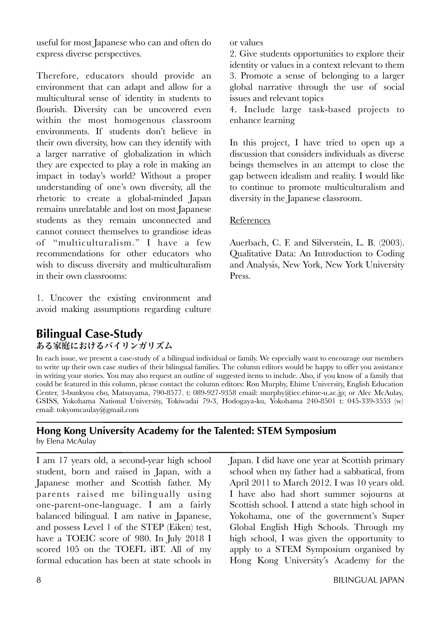useful for most Japanese who can and often do express diverse perspectives.

Therefore, educators should provide an environment that can adapt and allow for a multicultural sense of identity in students to flourish. Diversity can be uncovered even within the most homogenous classroom environments. If students don't believe in their own diversity, how can they identify with a larger narrative of globalization in which they are expected to play a role in making an impact in today's world? Without a proper understanding of one's own diversity, all the rhetoric to create a global-minded Japan remains unrelatable and lost on most Japanese students as they remain unconnected and cannot connect themselves to grandiose ideas of "multiculturalism." I have a few recommendations for other educators who wish to discuss diversity and multiculturalism in their own classrooms:

1. Uncover the existing environment and avoid making assumptions regarding culture

or values

2. Give students opportunities to explore their identity or values in a context relevant to them 3. Promote a sense of belonging to a larger global narrative through the use of social issues and relevant topics

4. Include large task-based projects to enhance learning

In this project, I have tried to open up a discussion that considers individuals as diverse beings themselves in an attempt to close the gap between idealism and reality. I would like to continue to promote multiculturalism and diversity in the Japanese classroom.

# References

Auerbach, C. F. and Silverstein, L. B. (2003). Qualitative Data: An Introduction to Coding and Analysis, New York, New York University Press.

# **Bilingual Case-Study** ある家庭におけるバイリンガリズム

In each issue, we present a case-study of a bilingual individual or family. We especially want to encourage our members to write up their own case studies of their bilingual families. The column editors would be happy to offer you assistance in writing your stories. You may also request an outline of suggested items to include. Also, if you know of a family that could be featured in this column, please contact the column editors: Ron Murphy, Ehime University, English Education Center, 3-bunkyou cho, Matsuyama, 790-8577. t: 089-927-9358 email: murphy@iec.ehime-u.ac.jp; or Alec McAulay, GSISS, Yokohama National University, Tokiwadai 79-3, Hodogaya-ku, Yokohama 240-8501 t: 045-339-3553 (w) email: tokyomcaulay@gmail.com

# **Hong Kong University Academy for the Talented: STEM Symposium**  by Elena McAulay

I am 17 years old, a second-year high school student, born and raised in Japan, with a Japanese mother and Scottish father. My parents raised me bilingually using one-parent-one-language. I am a fairly balanced bilingual. I am native in Japanese, and possess Level 1 of the STEP (Eiken) test, have a TOEIC score of 980. In July 2018 I scored 105 on the TOEFL iBT. All of my formal education has been at state schools in

Japan. I did have one year at Scottish primary school when my father had a sabbatical, from April 2011 to March 2012. I was 10 years old. I have also had short summer sojourns at Scottish school. I attend a state high school in Yokohama, one of the government's Super Global English High Schools. Through my high school, I was given the opportunity to apply to a STEM Symposium organised by Hong Kong University's Academy for the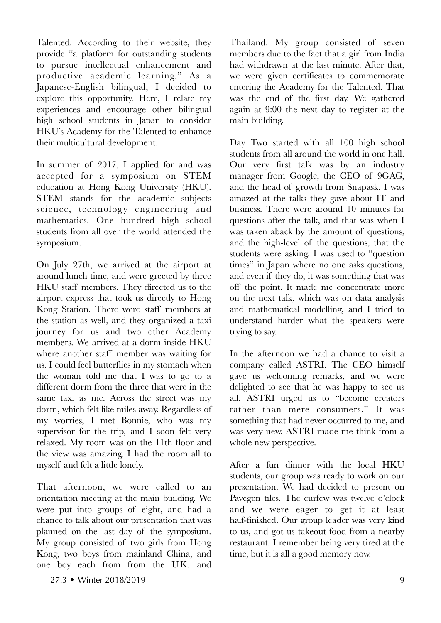Talented. According to their website, they provide "a platform for outstanding students to pursue intellectual enhancement and productive academic learning." As a Japanese-English bilingual, I decided to explore this opportunity. Here, I relate my experiences and encourage other bilingual high school students in Japan to consider HKU's Academy for the Talented to enhance their multicultural development.

In summer of 2017, I applied for and was accepted for a symposium on STEM education at Hong Kong University (HKU). STEM stands for the academic subjects science, technology engineering and mathematics. One hundred high school students from all over the world attended the symposium.

On July 27th, we arrived at the airport at around lunch time, and were greeted by three HKU staff members. They directed us to the airport express that took us directly to Hong Kong Station. There were staff members at the station as well, and they organized a taxi journey for us and two other Academy members. We arrived at a dorm inside HKU where another staff member was waiting for us. I could feel butterflies in my stomach when the woman told me that I was to go to a different dorm from the three that were in the same taxi as me. Across the street was my dorm, which felt like miles away. Regardless of my worries, I met Bonnie, who was my supervisor for the trip, and I soon felt very relaxed. My room was on the 11th floor and the view was amazing. I had the room all to myself and felt a little lonely.

That afternoon, we were called to an orientation meeting at the main building. We were put into groups of eight, and had a chance to talk about our presentation that was planned on the last day of the symposium. My group consisted of two girls from Hong Kong, two boys from mainland China, and one boy each from from the U.K. and

27.3 • Winter 2018/2019 9

Thailand. My group consisted of seven members due to the fact that a girl from India had withdrawn at the last minute. After that, we were given certificates to commemorate entering the Academy for the Talented. That was the end of the first day. We gathered again at 9:00 the next day to register at the main building.

Day Two started with all 100 high school students from all around the world in one hall. Our very first talk was by an industry manager from Google, the CEO of 9GAG, and the head of growth from Snapask. I was amazed at the talks they gave about IT and business. There were around 10 minutes for questions after the talk, and that was when I was taken aback by the amount of questions, and the high-level of the questions, that the students were asking. I was used to "question times" in Japan where no one asks questions, and even if they do, it was something that was off the point. It made me concentrate more on the next talk, which was on data analysis and mathematical modelling, and I tried to understand harder what the speakers were trying to say.

In the afternoon we had a chance to visit a company called ASTRI. The CEO himself gave us welcoming remarks, and we were delighted to see that he was happy to see us all. ASTRI urged us to "become creators rather than mere consumers." It was something that had never occurred to me, and was very new. ASTRI made me think from a whole new perspective.

After a fun dinner with the local HKU students, our group was ready to work on our presentation. We had decided to present on Pavegen tiles. The curfew was twelve o'clock and we were eager to get it at least half-finished. Our group leader was very kind to us, and got us takeout food from a nearby restaurant. I remember being very tired at the time, but it is all a good memory now.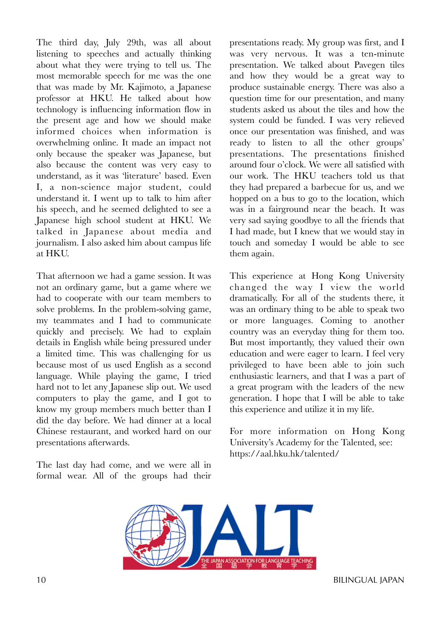The third day, July 29th, was all about listening to speeches and actually thinking about what they were trying to tell us. The most memorable speech for me was the one that was made by Mr. Kajimoto, a Japanese professor at HKU. He talked about how technology is influencing information flow in the present age and how we should make informed choices when information is overwhelming online. It made an impact not only because the speaker was Japanese, but also because the content was very easy to understand, as it was 'literature' based. Even I, a non-science major student, could understand it. I went up to talk to him after his speech, and he seemed delighted to see a Japanese high school student at HKU. We talked in Japanese about media and journalism. I also asked him about campus life at HKU.

That afternoon we had a game session. It was not an ordinary game, but a game where we had to cooperate with our team members to solve problems. In the problem-solving game, my teammates and I had to communicate quickly and precisely. We had to explain details in English while being pressured under a limited time. This was challenging for us because most of us used English as a second language. While playing the game, I tried hard not to let any Japanese slip out. We used computers to play the game, and I got to know my group members much better than I did the day before. We had dinner at a local Chinese restaurant, and worked hard on our presentations afterwards.

The last day had come, and we were all in formal wear. All of the groups had their

presentations ready. My group was first, and I was very nervous. It was a ten-minute presentation. We talked about Pavegen tiles and how they would be a great way to produce sustainable energy. There was also a question time for our presentation, and many students asked us about the tiles and how the system could be funded. I was very relieved once our presentation was finished, and was ready to listen to all the other groups' presentations. The presentations finished around four o'clock. We were all satisfied with our work. The HKU teachers told us that they had prepared a barbecue for us, and we hopped on a bus to go to the location, which was in a fairground near the beach. It was very sad saying goodbye to all the friends that I had made, but I knew that we would stay in touch and someday I would be able to see them again.

This experience at Hong Kong University changed the way I view the world dramatically. For all of the students there, it was an ordinary thing to be able to speak two or more languages. Coming to another country was an everyday thing for them too. But most importantly, they valued their own education and were eager to learn. I feel very privileged to have been able to join such enthusiastic learners, and that I was a part of a great program with the leaders of the new generation. I hope that I will be able to take this experience and utilize it in my life.

For more information on Hong Kong University's Academy for the Talented, see: https://aal.hku.hk/talented/



10 BILINGUAL JAPAN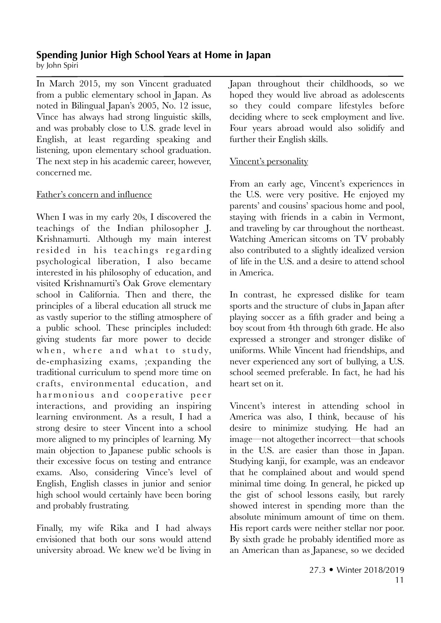# **Spending Junior High School Years at Home in Japan**

by John Spiri

In March 2015, my son Vincent graduated from a public elementary school in Japan. As noted in Bilingual Japan's 2005, No. 12 issue, Vince has always had strong linguistic skills, and was probably close to U.S. grade level in English, at least regarding speaking and listening, upon elementary school graduation. The next step in his academic career, however, concerned me.

# Father's concern and influence

When I was in my early 20s, I discovered the teachings of the Indian philosopher J. Krishnamurti. Although my main interest resided in his teachings regarding psychological liberation, I also became interested in his philosophy of education, and visited Krishnamurti's Oak Grove elementary school in California. Then and there, the principles of a liberal education all struck me as vastly superior to the stifling atmosphere of a public school. These principles included: giving students far more power to decide when, where and what to study, de-emphasizing exams, ;expanding the traditional curriculum to spend more time on crafts, environmental education, and harmonious and cooperative peer interactions, and providing an inspiring learning environment. As a result, I had a strong desire to steer Vincent into a school more aligned to my principles of learning. My main objection to Japanese public schools is their excessive focus on testing and entrance exams. Also, considering Vince's level of English, English classes in junior and senior high school would certainly have been boring and probably frustrating.

Finally, my wife Rika and I had always envisioned that both our sons would attend university abroad. We knew we'd be living in

Japan throughout their childhoods, so we hoped they would live abroad as adolescents so they could compare lifestyles before deciding where to seek employment and live. Four years abroad would also solidify and further their English skills.

# Vincent's personality

From an early age, Vincent's experiences in the U.S. were very positive. He enjoyed my parents' and cousins' spacious home and pool, staying with friends in a cabin in Vermont, and traveling by car throughout the northeast. Watching American sitcoms on TV probably also contributed to a slightly idealized version of life in the U.S. and a desire to attend school in America.

In contrast, he expressed dislike for team sports and the structure of clubs in Japan after playing soccer as a fifth grader and being a boy scout from 4th through 6th grade. He also expressed a stronger and stronger dislike of uniforms. While Vincent had friendships, and never experienced any sort of bullying, a U.S. school seemed preferable. In fact, he had his heart set on it.

Vincent's interest in attending school in America was also, I think, because of his desire to minimize studying. He had an image—not altogether incorrect—that schools in the U.S. are easier than those in Japan. Studying kanji, for example, was an endeavor that he complained about and would spend minimal time doing. In general, he picked up the gist of school lessons easily, but rarely showed interest in spending more than the absolute minimum amount of time on them. His report cards were neither stellar nor poor. By sixth grade he probably identified more as an American than as Japanese, so we decided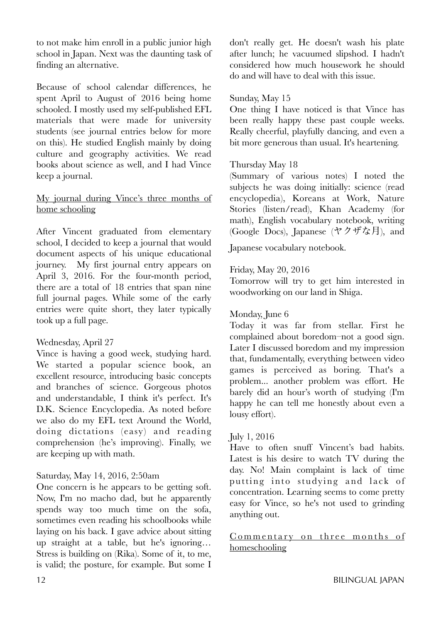to not make him enroll in a public junior high school in Japan. Next was the daunting task of finding an alternative.

Because of school calendar differences, he spent April to August of 2016 being home schooled. I mostly used my self-published EFL materials that were made for university students (see journal entries below for more on this). He studied English mainly by doing culture and geography activities. We read books about science as well, and I had Vince keep a journal.

# My journal during Vince's three months of home schooling

After Vincent graduated from elementary school, I decided to keep a journal that would document aspects of his unique educational journey. My first journal entry appears on April 3, 2016. For the four-month period, there are a total of 18 entries that span nine full journal pages. While some of the early entries were quite short, they later typically took up a full page.

# Wednesday, April 27

Vince is having a good week, studying hard. We started a popular science book, an excellent resource, introducing basic concepts and branches of science. Gorgeous photos and understandable, I think it's perfect. It's D.K. Science Encyclopedia. As noted before we also do my EFL text Around the World, doing dictations (easy) and reading comprehension (he's improving). Finally, we are keeping up with math.

# Saturday, May 14, 2016, 2:50am

One concern is he appears to be getting soft. Now, I'm no macho dad, but he apparently spends way too much time on the sofa, sometimes even reading his schoolbooks while laying on his back. I gave advice about sitting up straight at a table, but he's ignoring… Stress is building on (Rika). Some of it, to me, is valid; the posture, for example. But some I

don't really get. He doesn't wash his plate after lunch; he vacuumed slipshod. I hadn't considered how much housework he should do and will have to deal with this issue.

# Sunday, May 15

One thing I have noticed is that Vince has been really happy these past couple weeks. Really cheerful, playfully dancing, and even a bit more generous than usual. It's heartening.

# Thursday May 18

(Summary of various notes) I noted the subjects he was doing initially: science (read encyclopedia), Koreans at Work, Nature Stories (listen/read), Khan Academy (for math), English vocabulary notebook, writing (Google Docs), Japanese (ヤクザな月), and

Japanese vocabulary notebook.

# Friday, May 20, 2016

Tomorrow will try to get him interested in woodworking on our land in Shiga.

# Monday, June 6

Today it was far from stellar. First he complained about boredom–not a good sign. Later I discussed boredom and my impression that, fundamentally, everything between video games is perceived as boring. That's a problem... another problem was effort. He barely did an hour's worth of studying (I'm happy he can tell me honestly about even a lousy effort).

# July 1, 2016

Have to often snuff Vincent's bad habits. Latest is his desire to watch TV during the day. No! Main complaint is lack of time putting into studying and lack of concentration. Learning seems to come pretty easy for Vince, so he's not used to grinding anything out.

# Commentary on three months of homeschooling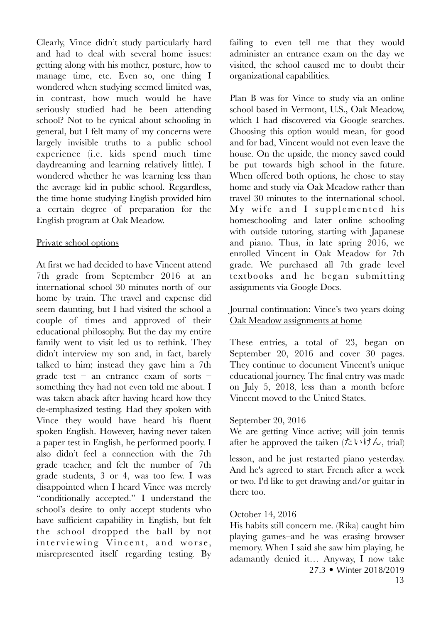Clearly, Vince didn't study particularly hard and had to deal with several home issues: getting along with his mother, posture, how to manage time, etc. Even so, one thing I wondered when studying seemed limited was, in contrast, how much would he have seriously studied had he been attending school? Not to be cynical about schooling in general, but I felt many of my concerns were largely invisible truths to a public school experience (i.e. kids spend much time daydreaming and learning relatively little). I wondered whether he was learning less than the average kid in public school. Regardless, the time home studying English provided him a certain degree of preparation for the English program at Oak Meadow.

## Private school options

At first we had decided to have Vincent attend 7th grade from September 2016 at an international school 30 minutes north of our home by train. The travel and expense did seem daunting, but I had visited the school a couple of times and approved of their educational philosophy. But the day my entire family went to visit led us to rethink. They didn't interview my son and, in fact, barely talked to him; instead they gave him a 7th grade test – an entrance exam of sorts – something they had not even told me about. I was taken aback after having heard how they de-emphasized testing. Had they spoken with Vince they would have heard his fluent spoken English. However, having never taken a paper test in English, he performed poorly. I also didn't feel a connection with the 7th grade teacher, and felt the number of 7th grade students, 3 or 4, was too few. I was disappointed when I heard Vince was merely "conditionally accepted." I understand the school's desire to only accept students who have sufficient capability in English, but felt the school dropped the ball by not interviewing Vincent, and worse, misrepresented itself regarding testing. By

failing to even tell me that they would administer an entrance exam on the day we visited, the school caused me to doubt their organizational capabilities.

Plan B was for Vince to study via an online school based in Vermont, U.S., Oak Meadow, which I had discovered via Google searches. Choosing this option would mean, for good and for bad, Vincent would not even leave the house. On the upside, the money saved could be put towards high school in the future. When offered both options, he chose to stay home and study via Oak Meadow rather than travel 30 minutes to the international school.  $My$  wife and I supplemented his homeschooling and later online schooling with outside tutoring, starting with Japanese and piano. Thus, in late spring 2016, we enrolled Vincent in Oak Meadow for 7th grade. We purchased all 7th grade level textbooks and he began submitting assignments via Google Docs.

# Journal continuation: Vince's two years doing Oak Meadow assignments at home

These entries, a total of 23, began on September 20, 2016 and cover 30 pages. They continue to document Vincent's unique educational journey. The final entry was made on July 5, 2018, less than a month before Vincent moved to the United States.

# September 20, 2016

We are getting Vince active; will join tennis after he approved the taiken (たいけん, trial)

lesson, and he just restarted piano yesterday. And he's agreed to start French after a week or two. I'd like to get drawing and/or guitar in there too.

# October 14, 2016

His habits still concern me. (Rika) caught him playing games–and he was erasing browser memory. When I said she saw him playing, he adamantly denied it… Anyway, I now take 27.3 • Winter 2018/2019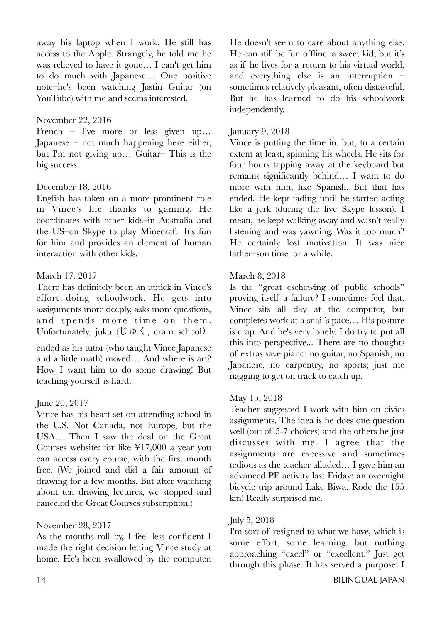away his laptop when I work. He still has access to the Apple. Strangely, he told me he was relieved to have it gone… I can't get him to do much with Japanese… One positive note–he's been watching Justin Guitar (on YouTube) with me and seems interested.

# November 22, 2016

French – I've more or less given up… Japanese – not much happening here either, but I'm not giving up… Guitar– This is the big success.

# December 18, 2016

English has taken on a more prominent role in Vince's life thanks to gaming. He coordinates with other kids–in Australia and the US–on Skype to play Minecraft. It's fun for him and provides an element of human interaction with other kids.

# March 17, 2017

There has definitely been an uptick in Vince's effort doing schoolwork. He gets into assignments more deeply, asks more questions, and spends more time on them. Unfortunately, juku  $(\mathcal{C} \otimes \zeta, \text{cram school})$ 

ended as his tutor (who taught Vince Japanese and a little math) moved… And where is art? How I want him to do some drawing! But teaching yourself is hard.

# June 20, 2017

Vince has his heart set on attending school in the U.S. Not Canada, not Europe, but the USA… Then I saw the deal on the Great Courses website: for like ¥17,000 a year you can access every course, with the first month free. (We joined and did a fair amount of drawing for a few months. But after watching about ten drawing lectures, we stopped and canceled the Great Courses subscription.)

# November 28, 2017

As the months roll by, I feel less confident I made the right decision letting Vince study at home. He's been swallowed by the computer.

He doesn't seem to care about anything else. He can still be fun offline, a sweet kid, but it's as if he lives for a return to his virtual world, and everything else is an interruption – sometimes relatively pleasant, often distasteful. But he has learned to do his schoolwork independently.

# January 9, 2018

Vince is putting the time in, but, to a certain extent at least, spinning his wheels. He sits for four hours tapping away at the keyboard but remains significantly behind… I want to do more with him, like Spanish. But that has ended. He kept fading until he started acting like a jerk (during the live Skype lesson). I mean, he kept walking away and wasn't really listening and was yawning. Was it too much? He certainly lost motivation. It was nice father–son time for a while.

# March 8, 2018

Is the "great eschewing of public schools" proving itself a failure? I sometimes feel that. Vince sits all day at the computer, but completes work at a snail's pace… His posture is crap. And he's very lonely. I do try to put all this into perspective... There are no thoughts of extras save piano; no guitar, no Spanish, no Japanese, no carpentry, no sports; just me nagging to get on track to catch up.

## May 15, 2018

Teacher suggested I work with him on civics assignments. The idea is he does one question well (out of 5-7 choices) and the others he just discusses with me. I agree that the assignments are excessive and sometimes tedious as the teacher alluded… I gave him an advanced PE activity last Friday: an overnight bicycle trip around Lake Biwa. Rode the 155 km! Really surprised me.

## July 5, 2018

I'm sort of resigned to what we have, which is some effort, some learning, but nothing approaching "excel" or "excellent." Just get through this phase. It has served a purpose; I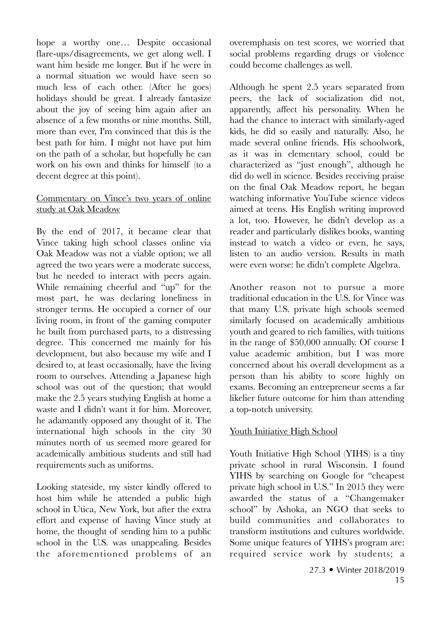hope a worthy one… Despite occasional flare-ups/disagreements, we get along well. I want him beside me longer. But if he were in a normal situation we would have seen so much less of each other. (After he goes) holidays should be great. I already fantasize about the joy of seeing him again after an absence of a few months or nine months. Still, more than ever, I'm convinced that this is the best path for him. I might not have put him on the path of a scholar, but hopefully he can work on his own and thinks for himself (to a decent degree at this point).

# Commentary on Vince's two years of online study at Oak Meadow

By the end of 2017, it became clear that Vince taking high school classes online via Oak Meadow was not a viable option; we all agreed the two years were a moderate success, but he needed to interact with peers again. While remaining cheerful and "up" for the most part, he was declaring loneliness in stronger terms. He occupied a corner of our living room, in front of the gaming computer he built from purchased parts, to a distressing degree. This concerned me mainly for his development, but also because my wife and I desired to, at least occasionally, have the living room to ourselves. Attending a Japanese high school was out of the question; that would make the 2.5 years studying English at home a waste and I didn't want it for him. Moreover, he adamantly opposed any thought of it. The international high schools in the city 30 minutes north of us seemed more geared for academically ambitious students and still had requirements such as uniforms.

Looking stateside, my sister kindly offered to host him while he attended a public high school in Utica, New York, but after the extra effort and expense of having Vince study at home, the thought of sending him to a public school in the U.S. was unappealing. Besides the aforementioned problems of an

overemphasis on test scores, we worried that social problems regarding drugs or violence could become challenges as well.

Although he spent 2.5 years separated from peers, the lack of socialization did not, apparently, affect his personality. When he had the chance to interact with similarly-aged kids, he did so easily and naturally. Also, he made several online friends. His schoolwork, as it was in elementary school, could be characterized as "just enough", although he did do well in science. Besides receiving praise on the final Oak Meadow report, he began watching informative YouTube science videos aimed at teens. His English writing improved a lot, too. However, he didn't develop as a reader and particularly dislikes books, wanting instead to watch a video or even, he says, listen to an audio version. Results in math were even worse: he didn't complete Algebra.

Another reason not to pursue a more traditional education in the U.S. for Vince was that many U.S. private high schools seemed similarly focused on academically ambitious youth and geared to rich families, with tuitions in the range of \$50,000 annually. Of course I value academic ambition, but I was more concerned about his overall development as a person than his ability to score highly on exams. Becoming an entrepreneur seems a far likelier future outcome for him than attending a top-notch university.

# Youth Initiative High School

Youth Initiative High School (YIHS) is a tiny private school in rural Wisconsin. I found YIHS by searching on Google for "cheapest private high school in U.S." In 2015 they were awarded the status of a "Changemaker school" by Ashoka, an NGO that seeks to build communities and collaborates to transform institutions and cultures worldwide. Some unique features of YIHS's program are: required service work by students; a